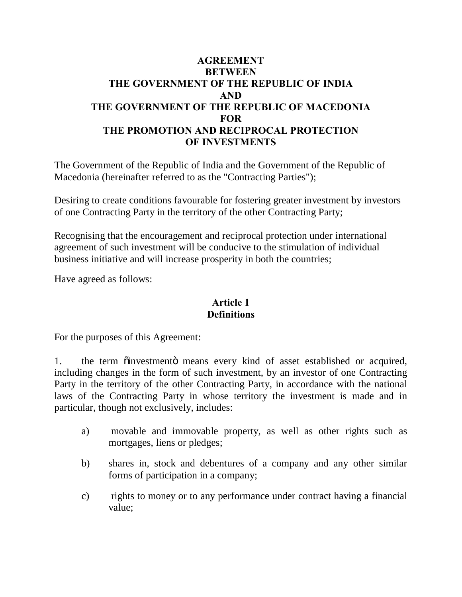# **AGREEMENT BETWEEN THE GOVERNMENT OF THE REPUBLIC OF INDIA AND THE GOVERNMENT OF THE REPUBLIC OF MACEDONIA FOR THE PROMOTION AND RECIPROCAL PROTECTION OF INVESTMENTS**

The Government of the Republic of India and the Government of the Republic of Macedonia (hereinafter referred to as the "Contracting Parties");

Desiring to create conditions favourable for fostering greater investment by investors of one Contracting Party in the territory of the other Contracting Party;

Recognising that the encouragement and reciprocal protection under international agreement of such investment will be conducive to the stimulation of individual business initiative and will increase prosperity in both the countries;

Have agreed as follows:

## **Article 1 Definitions**

For the purposes of this Agreement:

1. the term  $\ddot{\text{o}}$  investment  $\ddot{\text{o}}$  means every kind of asset established or acquired, including changes in the form of such investment, by an investor of one Contracting Party in the territory of the other Contracting Party, in accordance with the national laws of the Contracting Party in whose territory the investment is made and in particular, though not exclusively, includes:

- a) movable and immovable property, as well as other rights such as mortgages, liens or pledges;
- b) shares in, stock and debentures of a company and any other similar forms of participation in a company;
- c) rights to money or to any performance under contract having a financial value;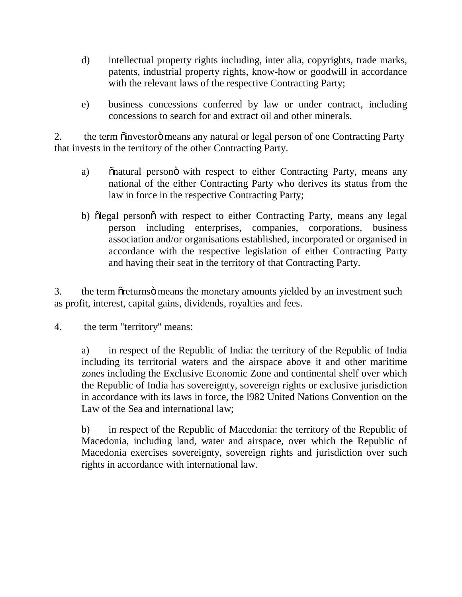- d) intellectual property rights including, inter alia, copyrights, trade marks, patents, industrial property rights, know-how or goodwill in accordance with the relevant laws of the respective Contracting Party;
- e) business concessions conferred by law or under contract, including concessions to search for and extract oil and other minerals.

2. the term  $\ddot{\text{o}}$  investor  $\ddot{\text{o}}$  means any natural or legal person of one Contracting Party that invests in the territory of the other Contracting Party.

- a) on Snatural persono with respect to either Contracting Party, means any national of the either Contracting Party who derives its status from the law in force in the respective Contracting Party;
- b) "olegal person" with respect to either Contracting Party, means any legal person including enterprises, companies, corporations, business association and/or organisations established, incorporated or organised in accordance with the respective legislation of either Contracting Party and having their seat in the territory of that Contracting Party.

3. the term organization means the monetary amounts yielded by an investment such as profit, interest, capital gains, dividends, royalties and fees.

4. the term "territory" means:

a) in respect of the Republic of India: the territory of the Republic of India including its territorial waters and the airspace above it and other maritime zones including the Exclusive Economic Zone and continental shelf over which the Republic of India has sovereignty, sovereign rights or exclusive jurisdiction in accordance with its laws in force, the l982 United Nations Convention on the Law of the Sea and international law;

b) in respect of the Republic of Macedonia: the territory of the Republic of Macedonia, including land, water and airspace, over which the Republic of Macedonia exercises sovereignty, sovereign rights and jurisdiction over such rights in accordance with international law.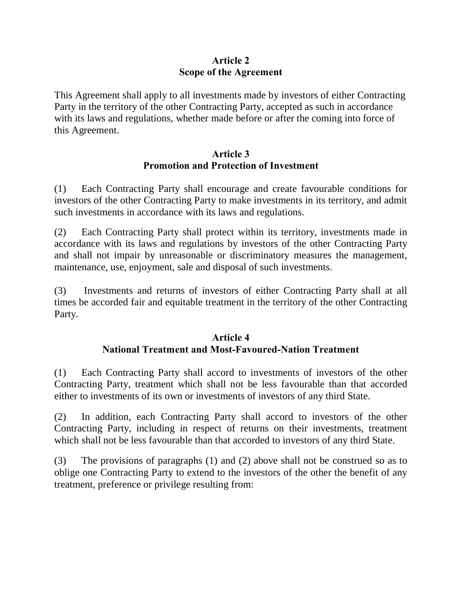## **Article 2 Scope of the Agreement**

This Agreement shall apply to all investments made by investors of either Contracting Party in the territory of the other Contracting Party, accepted as such in accordance with its laws and regulations, whether made before or after the coming into force of this Agreement.

## **Article 3 Promotion and Protection of Investment**

(1) Each Contracting Party shall encourage and create favourable conditions for investors of the other Contracting Party to make investments in its territory, and admit such investments in accordance with its laws and regulations.

(2) Each Contracting Party shall protect within its territory, investments made in accordance with its laws and regulations by investors of the other Contracting Party and shall not impair by unreasonable or discriminatory measures the management, maintenance, use, enjoyment, sale and disposal of such investments.

(3) Investments and returns of investors of either Contracting Party shall at all times be accorded fair and equitable treatment in the territory of the other Contracting Party.

## **Article 4 National Treatment and Most-Favoured-Nation Treatment**

(1) Each Contracting Party shall accord to investments of investors of the other Contracting Party, treatment which shall not be less favourable than that accorded either to investments of its own or investments of investors of any third State.

(2) In addition, each Contracting Party shall accord to investors of the other Contracting Party, including in respect of returns on their investments, treatment which shall not be less favourable than that accorded to investors of any third State.

(3) The provisions of paragraphs (1) and (2) above shall not be construed so as to oblige one Contracting Party to extend to the investors of the other the benefit of any treatment, preference or privilege resulting from: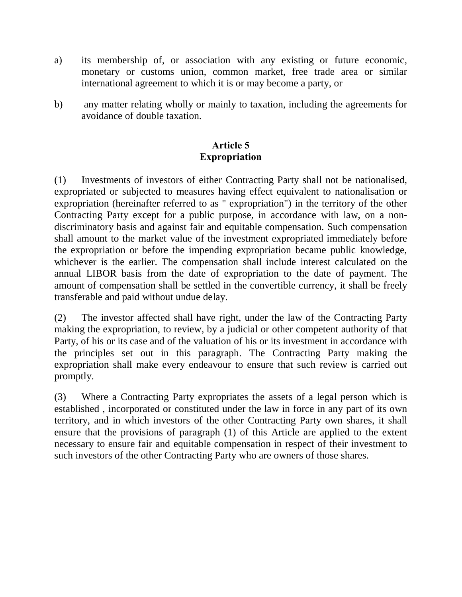- a) its membership of, or association with any existing or future economic, monetary or customs union, common market, free trade area or similar international agreement to which it is or may become a party, or
- b) any matter relating wholly or mainly to taxation, including the agreements for avoidance of double taxation.

# **Article 5 Expropriation**

(1) Investments of investors of either Contracting Party shall not be nationalised, expropriated or subjected to measures having effect equivalent to nationalisation or expropriation (hereinafter referred to as " expropriation") in the territory of the other Contracting Party except for a public purpose, in accordance with law, on a nondiscriminatory basis and against fair and equitable compensation. Such compensation shall amount to the market value of the investment expropriated immediately before the expropriation or before the impending expropriation became public knowledge, whichever is the earlier. The compensation shall include interest calculated on the annual LIBOR basis from the date of expropriation to the date of payment. The amount of compensation shall be settled in the convertible currency, it shall be freely transferable and paid without undue delay.

(2) The investor affected shall have right, under the law of the Contracting Party making the expropriation, to review, by a judicial or other competent authority of that Party, of his or its case and of the valuation of his or its investment in accordance with the principles set out in this paragraph. The Contracting Party making the expropriation shall make every endeavour to ensure that such review is carried out promptly.

(3) Where a Contracting Party expropriates the assets of a legal person which is established , incorporated or constituted under the law in force in any part of its own territory, and in which investors of the other Contracting Party own shares, it shall ensure that the provisions of paragraph (1) of this Article are applied to the extent necessary to ensure fair and equitable compensation in respect of their investment to such investors of the other Contracting Party who are owners of those shares.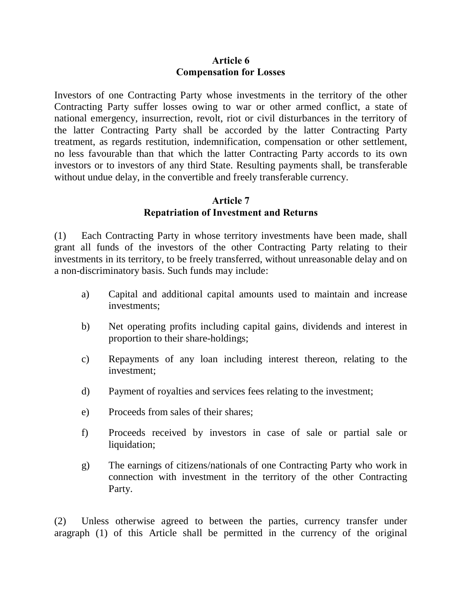#### **Article 6 Compensation for Losses**

Investors of one Contracting Party whose investments in the territory of the other Contracting Party suffer losses owing to war or other armed conflict, a state of national emergency, insurrection, revolt, riot or civil disturbances in the territory of the latter Contracting Party shall be accorded by the latter Contracting Party treatment, as regards restitution, indemnification, compensation or other settlement, no less favourable than that which the latter Contracting Party accords to its own investors or to investors of any third State. Resulting payments shall, be transferable without undue delay, in the convertible and freely transferable currency.

## **Article 7 Repatriation of Investment and Returns**

(1) Each Contracting Party in whose territory investments have been made, shall grant all funds of the investors of the other Contracting Party relating to their investments in its territory, to be freely transferred, without unreasonable delay and on a non-discriminatory basis. Such funds may include:

- a) Capital and additional capital amounts used to maintain and increase investments;
- b) Net operating profits including capital gains, dividends and interest in proportion to their share-holdings;
- c) Repayments of any loan including interest thereon, relating to the investment;
- d) Payment of royalties and services fees relating to the investment;
- e) Proceeds from sales of their shares;
- f) Proceeds received by investors in case of sale or partial sale or liquidation;
- g) The earnings of citizens/nationals of one Contracting Party who work in connection with investment in the territory of the other Contracting Party.

(2) Unless otherwise agreed to between the parties, currency transfer under aragraph (1) of this Article shall be permitted in the currency of the original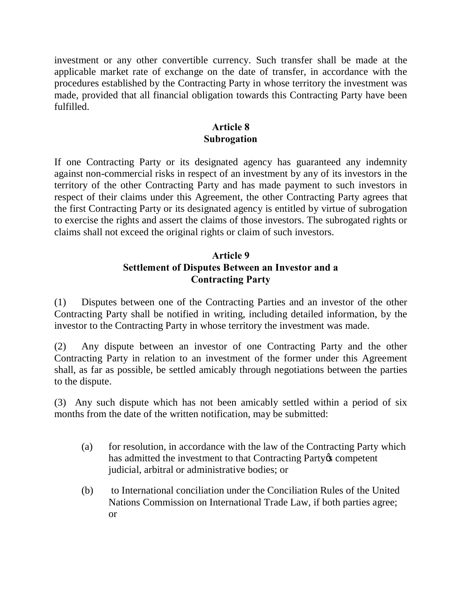investment or any other convertible currency. Such transfer shall be made at the applicable market rate of exchange on the date of transfer, in accordance with the procedures established by the Contracting Party in whose territory the investment was made, provided that all financial obligation towards this Contracting Party have been fulfilled.

## **Article 8 Subrogation**

If one Contracting Party or its designated agency has guaranteed any indemnity against non-commercial risks in respect of an investment by any of its investors in the territory of the other Contracting Party and has made payment to such investors in respect of their claims under this Agreement, the other Contracting Party agrees that the first Contracting Party or its designated agency is entitled by virtue of subrogation to exercise the rights and assert the claims of those investors. The subrogated rights or claims shall not exceed the original rights or claim of such investors.

# **Article 9 Settlement of Disputes Between an Investor and a Contracting Party**

(1) Disputes between one of the Contracting Parties and an investor of the other Contracting Party shall be notified in writing, including detailed information, by the investor to the Contracting Party in whose territory the investment was made.

(2) Any dispute between an investor of one Contracting Party and the other Contracting Party in relation to an investment of the former under this Agreement shall, as far as possible, be settled amicably through negotiations between the parties to the dispute.

(3) Any such dispute which has not been amicably settled within a period of six months from the date of the written notification, may be submitted:

- (a) for resolution, in accordance with the law of the Contracting Party which has admitted the investment to that Contracting Party & competent judicial, arbitral or administrative bodies; or
- (b) to International conciliation under the Conciliation Rules of the United Nations Commission on International Trade Law, if both parties agree; or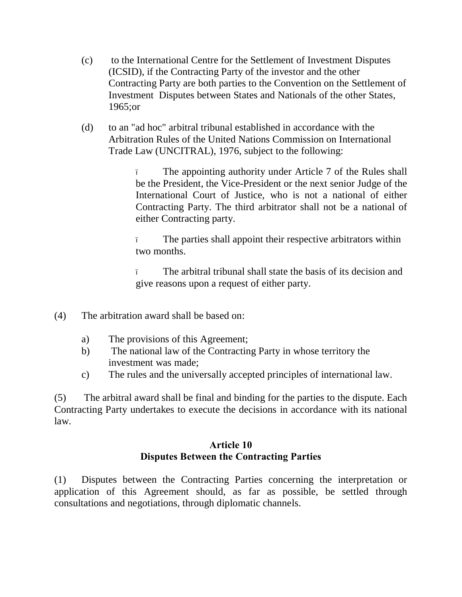- (c) to the International Centre for the Settlement of Investment Disputes (ICSID), if the Contracting Party of the investor and the other Contracting Party are both parties to the Convention on the Settlement of Investment Disputes between States and Nationals of the other States, 1965;or
- (d) to an "ad hoc" arbitral tribunal established in accordance with the Arbitration Rules of the United Nations Commission on International Trade Law (UNCITRAL), 1976, subject to the following:

The appointing authority under Article 7 of the Rules shall be the President, the Vice-President or the next senior Judge of the International Court of Justice, who is not a national of either Contracting Party. The third arbitrator shall not be a national of either Contracting party.

The parties shall appoint their respective arbitrators within two months.

– The arbitral tribunal shall state the basis of its decision and give reasons upon a request of either party.

- (4) The arbitration award shall be based on:
	- a) The provisions of this Agreement;
	- b) The national law of the Contracting Party in whose territory the investment was made;
	- c) The rules and the universally accepted principles of international law.

(5) The arbitral award shall be final and binding for the parties to the dispute. Each Contracting Party undertakes to execute the decisions in accordance with its national law.

## **Article 10 Disputes Between the Contracting Parties**

(1) Disputes between the Contracting Parties concerning the interpretation or application of this Agreement should, as far as possible, be settled through consultations and negotiations, through diplomatic channels.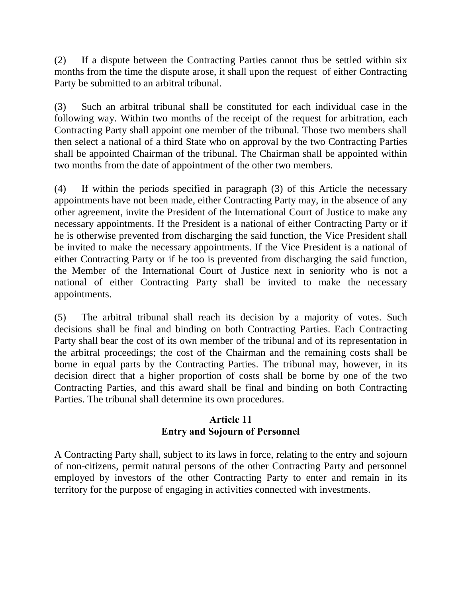(2) If a dispute between the Contracting Parties cannot thus be settled within six months from the time the dispute arose, it shall upon the request of either Contracting Party be submitted to an arbitral tribunal.

(3) Such an arbitral tribunal shall be constituted for each individual case in the following way. Within two months of the receipt of the request for arbitration, each Contracting Party shall appoint one member of the tribunal. Those two members shall then select a national of a third State who on approval by the two Contracting Parties shall be appointed Chairman of the tribunal. The Chairman shall be appointed within two months from the date of appointment of the other two members.

(4) If within the periods specified in paragraph (3) of this Article the necessary appointments have not been made, either Contracting Party may, in the absence of any other agreement, invite the President of the International Court of Justice to make any necessary appointments. If the President is a national of either Contracting Party or if he is otherwise prevented from discharging the said function, the Vice President shall be invited to make the necessary appointments. If the Vice President is a national of either Contracting Party or if he too is prevented from discharging the said function, the Member of the International Court of Justice next in seniority who is not a national of either Contracting Party shall be invited to make the necessary appointments.

(5) The arbitral tribunal shall reach its decision by a majority of votes. Such decisions shall be final and binding on both Contracting Parties. Each Contracting Party shall bear the cost of its own member of the tribunal and of its representation in the arbitral proceedings; the cost of the Chairman and the remaining costs shall be borne in equal parts by the Contracting Parties. The tribunal may, however, in its decision direct that a higher proportion of costs shall be borne by one of the two Contracting Parties, and this award shall be final and binding on both Contracting Parties. The tribunal shall determine its own procedures.

## **Article 11 Entry and Sojourn of Personnel**

A Contracting Party shall, subject to its laws in force, relating to the entry and sojourn of non-citizens, permit natural persons of the other Contracting Party and personnel employed by investors of the other Contracting Party to enter and remain in its territory for the purpose of engaging in activities connected with investments.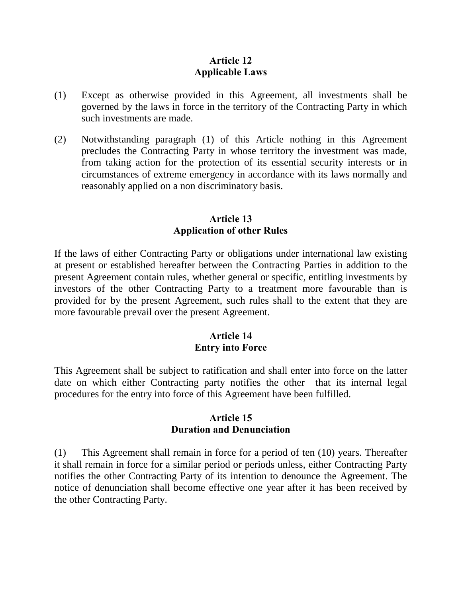## **Article 12 Applicable Laws**

- (1) Except as otherwise provided in this Agreement, all investments shall be governed by the laws in force in the territory of the Contracting Party in which such investments are made.
- (2) Notwithstanding paragraph (1) of this Article nothing in this Agreement precludes the Contracting Party in whose territory the investment was made, from taking action for the protection of its essential security interests or in circumstances of extreme emergency in accordance with its laws normally and reasonably applied on a non discriminatory basis.

## **Article 13 Application of other Rules**

If the laws of either Contracting Party or obligations under international law existing at present or established hereafter between the Contracting Parties in addition to the present Agreement contain rules, whether general or specific, entitling investments by investors of the other Contracting Party to a treatment more favourable than is provided for by the present Agreement, such rules shall to the extent that they are more favourable prevail over the present Agreement.

## **Article 14 Entry into Force**

This Agreement shall be subject to ratification and shall enter into force on the latter date on which either Contracting party notifies the other that its internal legal procedures for the entry into force of this Agreement have been fulfilled.

#### **Article 15 Duration and Denunciation**

(1) This Agreement shall remain in force for a period of ten (10) years. Thereafter it shall remain in force for a similar period or periods unless, either Contracting Party notifies the other Contracting Party of its intention to denounce the Agreement. The notice of denunciation shall become effective one year after it has been received by the other Contracting Party.